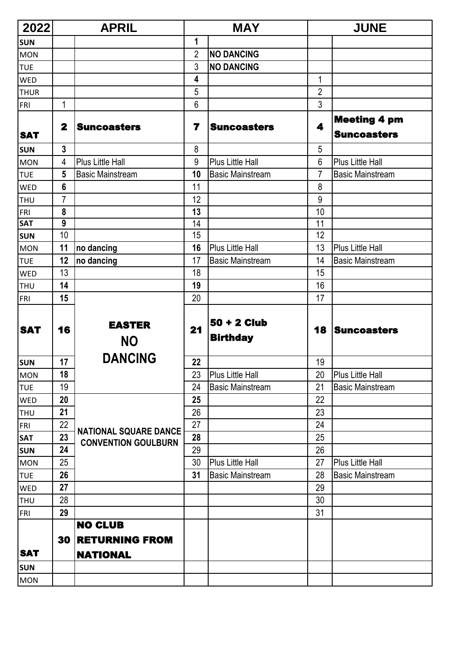| 2022        | <b>APRIL</b> |                                         | <b>MAY</b> |                                  |                | <b>JUNE</b>                               |  |
|-------------|--------------|-----------------------------------------|------------|----------------------------------|----------------|-------------------------------------------|--|
| <b>SUN</b>  |              |                                         | 1          |                                  |                |                                           |  |
| <b>MON</b>  |              |                                         | 2          | <b>NO DANCING</b>                |                |                                           |  |
| <b>TUE</b>  |              |                                         | 3          | <b>NO DANCING</b>                |                |                                           |  |
| <b>WED</b>  |              |                                         | 4          |                                  | 1              |                                           |  |
| <b>THUR</b> |              |                                         | 5          |                                  | $\overline{2}$ |                                           |  |
| FRI         | 1            |                                         | 6          |                                  | 3              |                                           |  |
| <b>SAT</b>  | $\mathbf{2}$ | <b>Suncoasters</b>                      | 7          | <b>Suncoasters</b>               | 4              | <b>Meeting 4 pm</b><br><b>Suncoasters</b> |  |
| <b>SUN</b>  | 3            |                                         | 8          |                                  | 5              |                                           |  |
| <b>MON</b>  | 4            | <b>Plus Little Hall</b>                 | 9          | <b>Plus Little Hall</b>          | 6              | <b>Plus Little Hall</b>                   |  |
| <b>TUE</b>  | 5            | <b>Basic Mainstream</b>                 | 10         | <b>Basic Mainstream</b>          | $\overline{7}$ | <b>Basic Mainstream</b>                   |  |
| <b>WED</b>  | 6            |                                         | 11         |                                  | 8              |                                           |  |
| <b>THU</b>  | 7            |                                         | 12         |                                  | 9              |                                           |  |
| <b>FRI</b>  | 8            |                                         | 13         |                                  | 10             |                                           |  |
| <b>SAT</b>  | 9            |                                         | 14         |                                  | 11             |                                           |  |
| <b>SUN</b>  | 10           |                                         | 15         |                                  | 12             |                                           |  |
| <b>MON</b>  | 11           | no dancing                              | 16         | <b>Plus Little Hall</b>          | 13             | <b>Plus Little Hall</b>                   |  |
| <b>TUE</b>  | 12           | no dancing                              | 17         | <b>Basic Mainstream</b>          | 14             | <b>Basic Mainstream</b>                   |  |
| <b>WED</b>  | 13           |                                         | 18         |                                  | 15             |                                           |  |
| <b>THU</b>  | 14           |                                         | 19         |                                  | 16             |                                           |  |
| FRI         | 15           |                                         | 20         |                                  | 17             |                                           |  |
| <b>SAT</b>  | 16           | <b>EASTER</b><br><b>NO</b>              | 21         | $50 + 2$ Club<br><b>Birthday</b> | 18             | <b>Suncoasters</b>                        |  |
| <b>SUN</b>  | 17           | <b>DANCING</b>                          | 22         |                                  | 19             |                                           |  |
| <b>MON</b>  | 18           |                                         | 23         | <b>Plus Little Hall</b>          | 20             | Plus Little Hall                          |  |
| <b>TUE</b>  | 19           |                                         | 24         | <b>Basic Mainstream</b>          | 21             | <b>Basic Mainstream</b>                   |  |
| <b>WED</b>  | 20           |                                         | 25         |                                  | 22             |                                           |  |
| <b>THU</b>  | 21           |                                         | 26         |                                  | 23             |                                           |  |
| <b>FRI</b>  | 22           |                                         | 27         |                                  | 24             |                                           |  |
| <b>SAT</b>  | 23           | <b>NATIONAL SQUARE DANCE</b>            | 28         |                                  | 25             |                                           |  |
| <b>SUN</b>  | 24           | <b>CONVENTION GOULBURN</b>              | 29         |                                  | 26             |                                           |  |
| <b>MON</b>  | 25           |                                         | 30         | <b>Plus Little Hall</b>          | 27             | <b>Plus Little Hall</b>                   |  |
| <b>TUE</b>  | 26           |                                         | 31         | <b>Basic Mainstream</b>          | 28             | <b>Basic Mainstream</b>                   |  |
| <b>WED</b>  | 27           |                                         |            |                                  | 29             |                                           |  |
| <b>THU</b>  | 28           |                                         |            |                                  | 30             |                                           |  |
| FRI         | 29           |                                         |            |                                  | 31             |                                           |  |
| <b>SAT</b>  | 30           | <b>NO CLUB</b><br><b>RETURNING FROM</b> |            |                                  |                |                                           |  |
|             |              | <b>NATIONAL</b>                         |            |                                  |                |                                           |  |
| <b>SUN</b>  |              |                                         |            |                                  |                |                                           |  |
| <b>MON</b>  |              |                                         |            |                                  |                |                                           |  |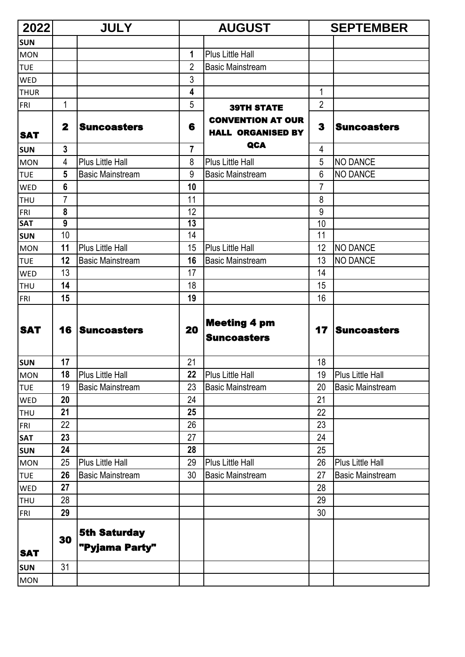| 2022        |                | <b>JULY</b>                           |                | <b>AUGUST</b>                                        |                | <b>SEPTEMBER</b>        |
|-------------|----------------|---------------------------------------|----------------|------------------------------------------------------|----------------|-------------------------|
| <b>SUN</b>  |                |                                       |                |                                                      |                |                         |
| <b>MON</b>  |                |                                       | 1              | <b>Plus Little Hall</b>                              |                |                         |
| <b>TUE</b>  |                |                                       | 2              | <b>Basic Mainstream</b>                              |                |                         |
| <b>WED</b>  |                |                                       | 3              |                                                      |                |                         |
| <b>THUR</b> |                |                                       | 4              |                                                      | 1              |                         |
| FRI         | 1              |                                       | 5              | <b>39TH STATE</b>                                    | $\overline{2}$ |                         |
| <b>SAT</b>  | $\mathbf{2}$   | <b>Suncoasters</b>                    | 6              | <b>CONVENTION AT OUR</b><br><b>HALL ORGANISED BY</b> | 3              | <b>Suncoasters</b>      |
| <b>SUN</b>  | $\mathbf{3}$   |                                       | $\overline{7}$ | <b>QCA</b>                                           | 4              |                         |
| <b>MON</b>  | 4              | <b>Plus Little Hall</b>               | 8              | <b>Plus Little Hall</b>                              | 5              | <b>NO DANCE</b>         |
| <b>TUE</b>  | 5              | <b>Basic Mainstream</b>               | 9              | <b>Basic Mainstream</b>                              | 6              | <b>NO DANCE</b>         |
| <b>WED</b>  | $6\phantom{1}$ |                                       | 10             |                                                      | $\overline{7}$ |                         |
| THU         | 7              |                                       | 11             |                                                      | 8              |                         |
| <b>FRI</b>  | 8              |                                       | 12             |                                                      | 9              |                         |
| <b>SAT</b>  | 9              |                                       | 13             |                                                      | 10             |                         |
| <b>SUN</b>  | 10             |                                       | 14             |                                                      | 11             |                         |
| <b>MON</b>  | 11             | <b>Plus Little Hall</b>               | 15             | <b>Plus Little Hall</b>                              | 12             | <b>NO DANCE</b>         |
| <b>TUE</b>  | 12             | <b>Basic Mainstream</b>               | 16             | <b>Basic Mainstream</b>                              | 13             | <b>NO DANCE</b>         |
| <b>WED</b>  | 13             |                                       | 17             |                                                      | 14             |                         |
| <b>THU</b>  | 14             |                                       | 18             |                                                      | 15             |                         |
| FRI         | 15             |                                       | 19             |                                                      | 16             |                         |
| <b>SAT</b>  | 16             | Suncoasters                           | 20             | <b>Meeting 4 pm</b><br><b>Suncoasters</b>            | 17             | <b>Suncoasters</b>      |
| <b>SUN</b>  | 17             |                                       | 21             |                                                      | 18             |                         |
| <b>MON</b>  | 18             | Plus Little Hall                      | 22             | Plus Little Hall                                     | 19             | Plus Little Hall        |
| <b>TUE</b>  | 19             | <b>Basic Mainstream</b>               | 23             | <b>Basic Mainstream</b>                              | 20             | <b>Basic Mainstream</b> |
| WED         | 20             |                                       | 24             |                                                      | 21             |                         |
| <b>THU</b>  | 21             |                                       | 25             |                                                      | 22             |                         |
| <b>FRI</b>  | 22             |                                       | 26             |                                                      | 23             |                         |
| <b>SAT</b>  | 23             |                                       | 27             |                                                      | 24             |                         |
| <b>SUN</b>  | 24             |                                       | 28             |                                                      | 25             |                         |
| <b>MON</b>  | 25             | <b>Plus Little Hall</b>               | 29             | Plus Little Hall                                     | 26             | <b>Plus Little Hall</b> |
| <b>TUE</b>  | 26             | <b>Basic Mainstream</b>               | 30             | <b>Basic Mainstream</b>                              | 27             | <b>Basic Mainstream</b> |
| WED         | 27             |                                       |                |                                                      | 28             |                         |
| <b>THU</b>  | 28             |                                       |                |                                                      | 29             |                         |
| FRI         | 29             |                                       |                |                                                      | 30             |                         |
| <b>SAT</b>  | 30             | <b>5th Saturday</b><br>"Pyjama Party" |                |                                                      |                |                         |
| <b>SUN</b>  | 31             |                                       |                |                                                      |                |                         |
| <b>MON</b>  |                |                                       |                |                                                      |                |                         |